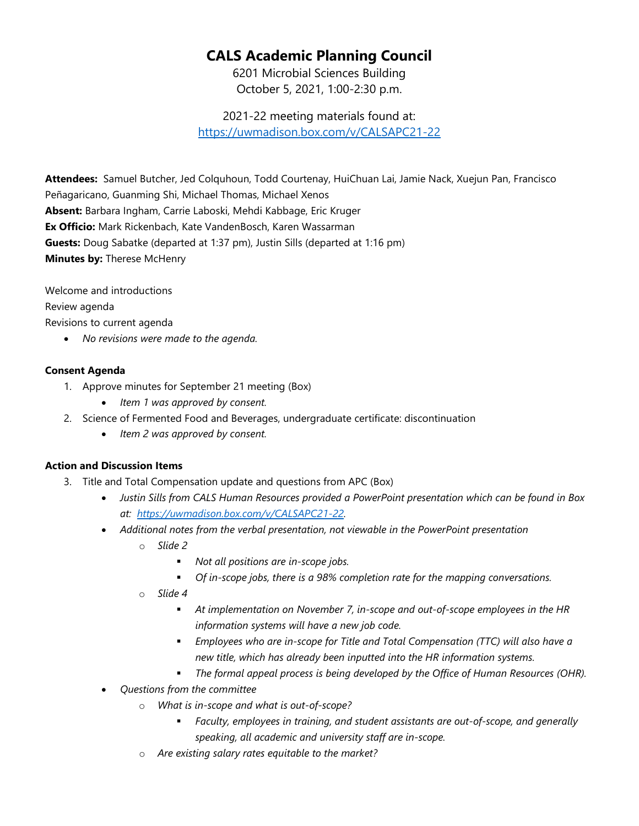## **CALS Academic Planning Council**

6201 Microbial Sciences Building October 5, 2021, 1:00-2:30 p.m.

2021-22 meeting materials found at: <https://uwmadison.box.com/v/CALSAPC21-22>

**Attendees:** Samuel Butcher, Jed Colquhoun, Todd Courtenay, HuiChuan Lai, Jamie Nack, Xuejun Pan, Francisco Peñagaricano, Guanming Shi, Michael Thomas, Michael Xenos **Absent:** Barbara Ingham, Carrie Laboski, Mehdi Kabbage, Eric Kruger **Ex Officio:** Mark Rickenbach, Kate VandenBosch, Karen Wassarman **Guests:** Doug Sabatke (departed at 1:37 pm), Justin Sills (departed at 1:16 pm) **Minutes by:** Therese McHenry

Welcome and introductions Review agenda Revisions to current agenda

• *No revisions were made to the agenda.*

## **Consent Agenda**

- 1. Approve minutes for September 21 meeting (Box)
	- *Item 1 was approved by consent.*
- 2. Science of Fermented Food and Beverages, undergraduate certificate: discontinuation
	- *Item 2 was approved by consent.*

## **Action and Discussion Items**

- 3. Title and Total Compensation update and questions from APC (Box)
	- *Justin Sills from CALS Human Resources provided a PowerPoint presentation which can be found in Box at: [https://uwmadison.box.com/v/CALSAPC21-22.](https://uwmadison.box.com/v/CALSAPC21-22)*
	- *Additional notes from the verbal presentation, not viewable in the PowerPoint presentation*
		- o *Slide 2*
			- *Not all positions are in-scope jobs.*
			- *Of in-scope jobs, there is a 98% completion rate for the mapping conversations.*
		- o *Slide 4*
			- *At implementation on November 7, in-scope and out-of-scope employees in the HR information systems will have a new job code.*
			- *Employees who are in-scope for Title and Total Compensation (TTC) will also have a new title, which has already been inputted into the HR information systems.*
			- *The formal appeal process is being developed by the Office of Human Resources (OHR).*
	- *Questions from the committee*
		- o *What is in-scope and what is out-of-scope?*
			- *Faculty, employees in training, and student assistants are out-of-scope, and generally speaking, all academic and university staff are in-scope.*
		- o *Are existing salary rates equitable to the market?*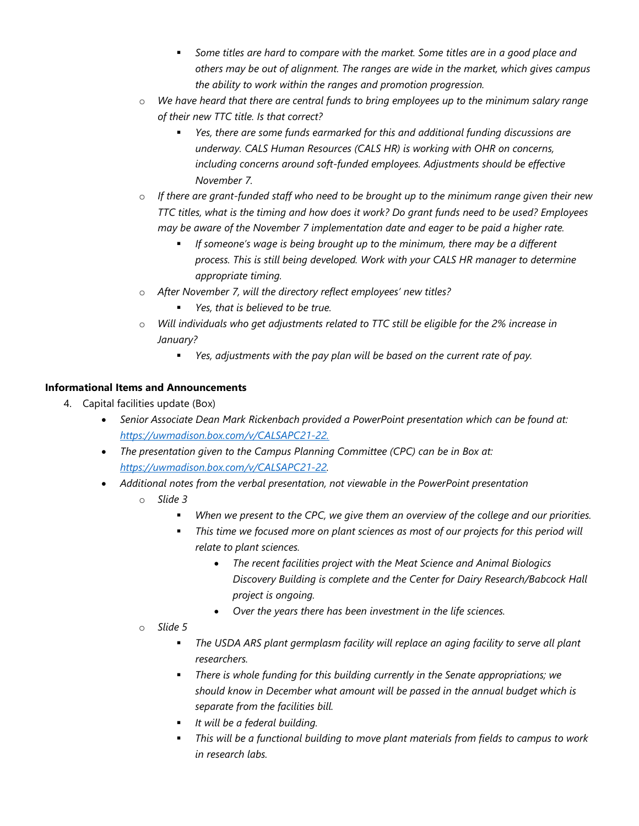- *Some titles are hard to compare with the market. Some titles are in a good place and others may be out of alignment. The ranges are wide in the market, which gives campus the ability to work within the ranges and promotion progression.*
- o *We have heard that there are central funds to bring employees up to the minimum salary range of their new TTC title. Is that correct?*
	- *Yes, there are some funds earmarked for this and additional funding discussions are underway. CALS Human Resources (CALS HR) is working with OHR on concerns, including concerns around soft-funded employees. Adjustments should be effective November 7.*
- o *If there are grant-funded staff who need to be brought up to the minimum range given their new TTC titles, what is the timing and how does it work? Do grant funds need to be used? Employees may be aware of the November 7 implementation date and eager to be paid a higher rate.*
	- *If someone's wage is being brought up to the minimum, there may be a different process. This is still being developed. Work with your CALS HR manager to determine appropriate timing.*
- o *After November 7, will the directory reflect employees' new titles?*
	- *Yes, that is believed to be true.*
- o *Will individuals who get adjustments related to TTC still be eligible for the 2% increase in January?*
	- *Yes, adjustments with the pay plan will be based on the current rate of pay.*

## **Informational Items and Announcements**

- 4. Capital facilities update (Box)
	- *Senior Associate Dean Mark Rickenbach provided a PowerPoint presentation which can be found at: [https://uwmadison.box.com/v/CALSAPC21-22.](https://uwmadison.box.com/v/CALSAPC21-22)*
	- *The presentation given to the Campus Planning Committee (CPC) can be in Box at: [https://uwmadison.box.com/v/CALSAPC21-22.](https://uwmadison.box.com/v/CALSAPC21-22)*
	- *Additional notes from the verbal presentation, not viewable in the PowerPoint presentation*
		- o *Slide 3*
			- *When we present to the CPC, we give them an overview of the college and our priorities.*
			- **This time we focused more on plant sciences as most of our projects for this period will** *relate to plant sciences.*
				- *The recent facilities project with the Meat Science and Animal Biologics Discovery Building is complete and the Center for Dairy Research/Babcock Hall project is ongoing.*
				- *Over the years there has been investment in the life sciences.*
		- o *Slide 5*
			- *The USDA ARS plant germplasm facility will replace an aging facility to serve all plant researchers.*
			- *There is whole funding for this building currently in the Senate appropriations; we should know in December what amount will be passed in the annual budget which is separate from the facilities bill.*
			- *It will be a federal building.*
			- *This will be a functional building to move plant materials from fields to campus to work in research labs.*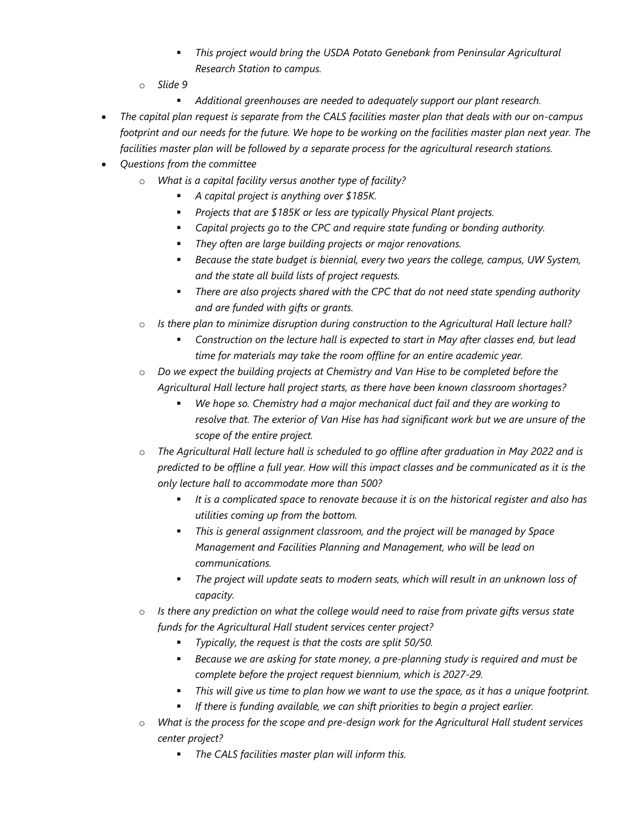- *This project would bring the USDA Potato Genebank from Peninsular Agricultural Research Station to campus.*
- o *Slide 9*
	- *Additional greenhouses are needed to adequately support our plant research.*
- *The capital plan request is separate from the CALS facilities master plan that deals with our on-campus footprint and our needs for the future. We hope to be working on the facilities master plan next year. The facilities master plan will be followed by a separate process for the agricultural research stations.*
- *Questions from the committee*
	- o *What is a capital facility versus another type of facility?*
		- *A capital project is anything over \$185K.*
		- *Projects that are \$185K or less are typically Physical Plant projects.*
		- *Capital projects go to the CPC and require state funding or bonding authority.*
		- *They often are large building projects or major renovations.*
		- *Because the state budget is biennial, every two years the college, campus, UW System, and the state all build lists of project requests.*
		- *There are also projects shared with the CPC that do not need state spending authority and are funded with gifts or grants.*
	- o *Is there plan to minimize disruption during construction to the Agricultural Hall lecture hall?*
		- *Construction on the lecture hall is expected to start in May after classes end, but lead time for materials may take the room offline for an entire academic year.*
	- o *Do we expect the building projects at Chemistry and Van Hise to be completed before the Agricultural Hall lecture hall project starts, as there have been known classroom shortages?*
		- *We hope so. Chemistry had a major mechanical duct fail and they are working to resolve that. The exterior of Van Hise has had significant work but we are unsure of the scope of the entire project.*
	- o *The Agricultural Hall lecture hall is scheduled to go offline after graduation in May 2022 and is predicted to be offline a full year. How will this impact classes and be communicated as it is the only lecture hall to accommodate more than 500?*
		- *It is a complicated space to renovate because it is on the historical register and also has utilities coming up from the bottom.*
		- *This is general assignment classroom, and the project will be managed by Space Management and Facilities Planning and Management, who will be lead on communications.*
		- *The project will update seats to modern seats, which will result in an unknown loss of capacity.*
	- o *Is there any prediction on what the college would need to raise from private gifts versus state funds for the Agricultural Hall student services center project?*
		- *Typically, the request is that the costs are split 50/50.*
		- *Because we are asking for state money, a pre-planning study is required and must be complete before the project request biennium, which is 2027-29.*
		- *This will give us time to plan how we want to use the space, as it has a unique footprint.*
		- *If there is funding available, we can shift priorities to begin a project earlier.*
	- o *What is the process for the scope and pre-design work for the Agricultural Hall student services center project?*
		- *The CALS facilities master plan will inform this.*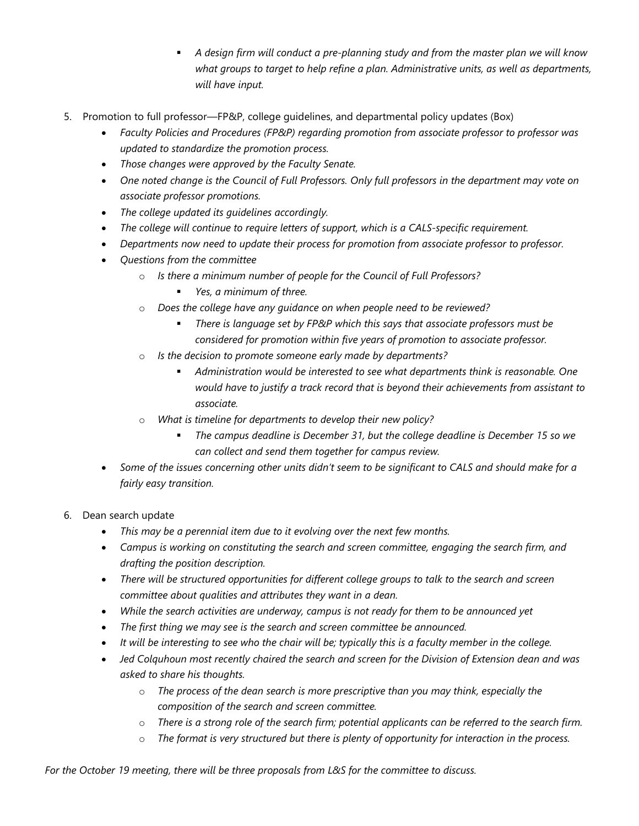- *A design firm will conduct a pre-planning study and from the master plan we will know what groups to target to help refine a plan. Administrative units, as well as departments, will have input.*
- 5. Promotion to full professor—FP&P, college guidelines, and departmental policy updates (Box)
	- *Faculty Policies and Procedures (FP&P) regarding promotion from associate professor to professor was updated to standardize the promotion process.*
	- *Those changes were approved by the Faculty Senate.*
	- *One noted change is the Council of Full Professors. Only full professors in the department may vote on associate professor promotions.*
	- *The college updated its guidelines accordingly.*
	- *The college will continue to require letters of support, which is a CALS-specific requirement.*
	- *Departments now need to update their process for promotion from associate professor to professor.*
	- *Questions from the committee*
		- o *Is there a minimum number of people for the Council of Full Professors?* 
			- *Yes, a minimum of three.*
		- o *Does the college have any guidance on when people need to be reviewed?*
			- *There is language set by FP&P which this says that associate professors must be considered for promotion within five years of promotion to associate professor.*
		- o *Is the decision to promote someone early made by departments?* 
			- *Administration would be interested to see what departments think is reasonable. One would have to justify a track record that is beyond their achievements from assistant to associate.*
		- o *What is timeline for departments to develop their new policy?* 
			- *The campus deadline is December 31, but the college deadline is December 15 so we can collect and send them together for campus review.*
	- *Some of the issues concerning other units didn't seem to be significant to CALS and should make for a fairly easy transition.*
- 6. Dean search update
	- *This may be a perennial item due to it evolving over the next few months.*
	- *Campus is working on constituting the search and screen committee, engaging the search firm, and drafting the position description.*
	- *There will be structured opportunities for different college groups to talk to the search and screen committee about qualities and attributes they want in a dean.*
	- *While the search activities are underway, campus is not ready for them to be announced yet*
	- *The first thing we may see is the search and screen committee be announced.*
	- *It will be interesting to see who the chair will be; typically this is a faculty member in the college.*
	- *Jed Colquhoun most recently chaired the search and screen for the Division of Extension dean and was asked to share his thoughts.*
		- o *The process of the dean search is more prescriptive than you may think, especially the composition of the search and screen committee.*
		- o *There is a strong role of the search firm; potential applicants can be referred to the search firm.*
		- o *The format is very structured but there is plenty of opportunity for interaction in the process.*